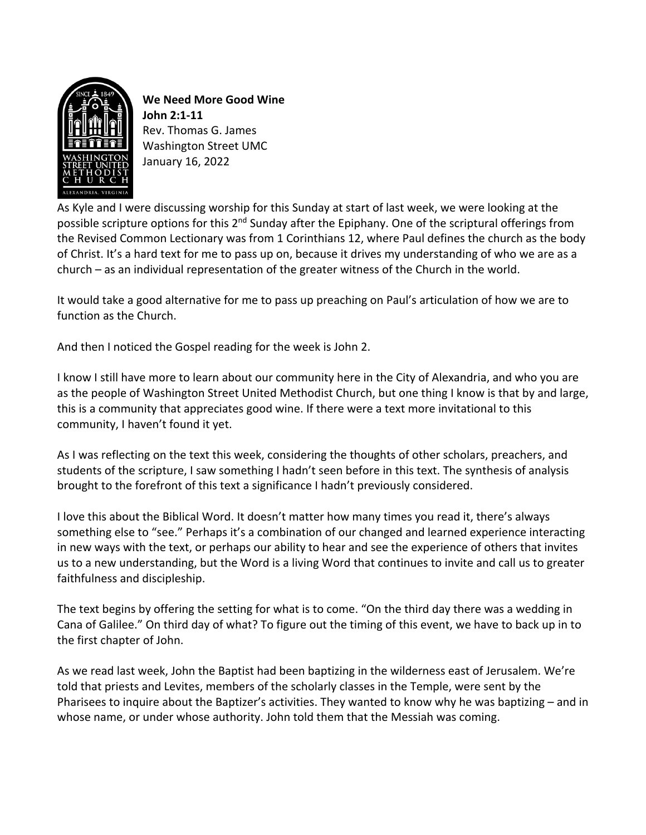

**We Need More Good Wine John 2:1-11** Rev. Thomas G. James Washington Street UMC January 16, 2022

As Kyle and I were discussing worship for this Sunday at start of last week, we were looking at the possible scripture options for this 2<sup>nd</sup> Sunday after the Epiphany. One of the scriptural offerings from the Revised Common Lectionary was from 1 Corinthians 12, where Paul defines the church as the body of Christ. It's a hard text for me to pass up on, because it drives my understanding of who we are as a church – as an individual representation of the greater witness of the Church in the world.

It would take a good alternative for me to pass up preaching on Paul's articulation of how we are to function as the Church.

And then I noticed the Gospel reading for the week is John 2.

I know I still have more to learn about our community here in the City of Alexandria, and who you are as the people of Washington Street United Methodist Church, but one thing I know is that by and large, this is a community that appreciates good wine. If there were a text more invitational to this community, I haven't found it yet.

As I was reflecting on the text this week, considering the thoughts of other scholars, preachers, and students of the scripture, I saw something I hadn't seen before in this text. The synthesis of analysis brought to the forefront of this text a significance I hadn't previously considered.

I love this about the Biblical Word. It doesn't matter how many times you read it, there's always something else to "see." Perhaps it's a combination of our changed and learned experience interacting in new ways with the text, or perhaps our ability to hear and see the experience of others that invites us to a new understanding, but the Word is a living Word that continues to invite and call us to greater faithfulness and discipleship.

The text begins by offering the setting for what is to come. "On the third day there was a wedding in Cana of Galilee." On third day of what? To figure out the timing of this event, we have to back up in to the first chapter of John.

As we read last week, John the Baptist had been baptizing in the wilderness east of Jerusalem. We're told that priests and Levites, members of the scholarly classes in the Temple, were sent by the Pharisees to inquire about the Baptizer's activities. They wanted to know why he was baptizing – and in whose name, or under whose authority. John told them that the Messiah was coming.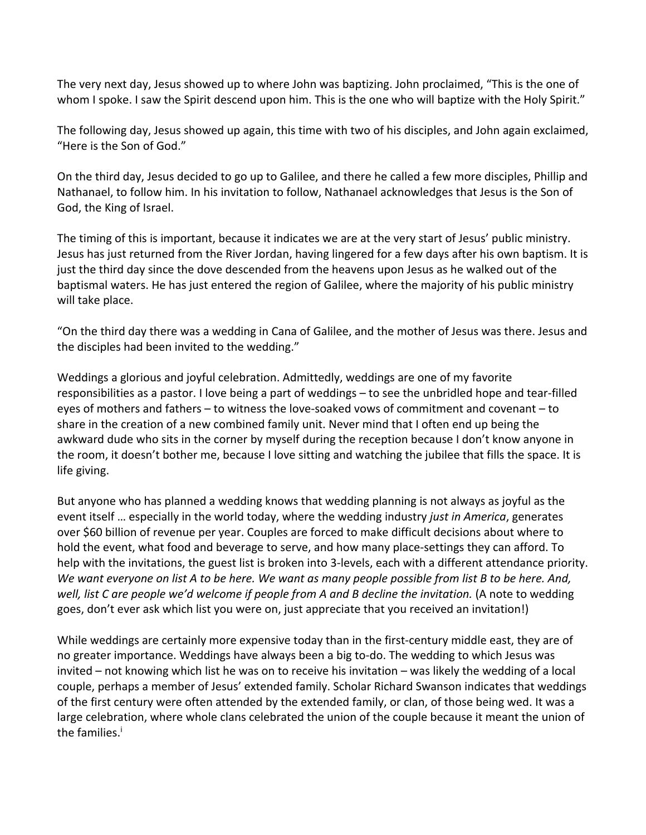The very next day, Jesus showed up to where John was baptizing. John proclaimed, "This is the one of whom I spoke. I saw the Spirit descend upon him. This is the one who will baptize with the Holy Spirit."

The following day, Jesus showed up again, this time with two of his disciples, and John again exclaimed, "Here is the Son of God."

On the third day, Jesus decided to go up to Galilee, and there he called a few more disciples, Phillip and Nathanael, to follow him. In his invitation to follow, Nathanael acknowledges that Jesus is the Son of God, the King of Israel.

The timing of this is important, because it indicates we are at the very start of Jesus' public ministry. Jesus has just returned from the River Jordan, having lingered for a few days after his own baptism. It is just the third day since the dove descended from the heavens upon Jesus as he walked out of the baptismal waters. He has just entered the region of Galilee, where the majority of his public ministry will take place.

"On the third day there was a wedding in Cana of Galilee, and the mother of Jesus was there. Jesus and the disciples had been invited to the wedding."

Weddings a glorious and joyful celebration. Admittedly, weddings are one of my favorite responsibilities as a pastor. I love being a part of weddings – to see the unbridled hope and tear-filled eyes of mothers and fathers – to witness the love-soaked vows of commitment and covenant – to share in the creation of a new combined family unit. Never mind that I often end up being the awkward dude who sits in the corner by myself during the reception because I don't know anyone in the room, it doesn't bother me, because I love sitting and watching the jubilee that fills the space. It is life giving.

But anyone who has planned a wedding knows that wedding planning is not always as joyful as the event itself … especially in the world today, where the wedding industry *just in America*, generates over \$60 billion of revenue per year. Couples are forced to make difficult decisions about where to hold the event, what food and beverage to serve, and how many place-settings they can afford. To help with the invitations, the guest list is broken into 3-levels, each with a different attendance priority. *We want everyone on list A to be here. We want as many people possible from list B to be here. And,*  well, list C are people we'd welcome if people from A and B decline the invitation. (A note to wedding goes, don't ever ask which list you were on, just appreciate that you received an invitation!)

While weddings are certainly more expensive today than in the first-century middle east, they are of no greater importance. Weddings have always been a big to-do. The wedding to which Jesus was invited – not knowing which list he was on to receive his invitation – was likely the wedding of a local couple, perhaps a member of Jesus' extended family. Scholar Richard Swanson indicates that weddings of the first century were often attended by the extended family, or clan, of those being wed. It was a large celebration, where whole clans celebrated the union of the couple because it meant the union of the families.<sup>i</sup>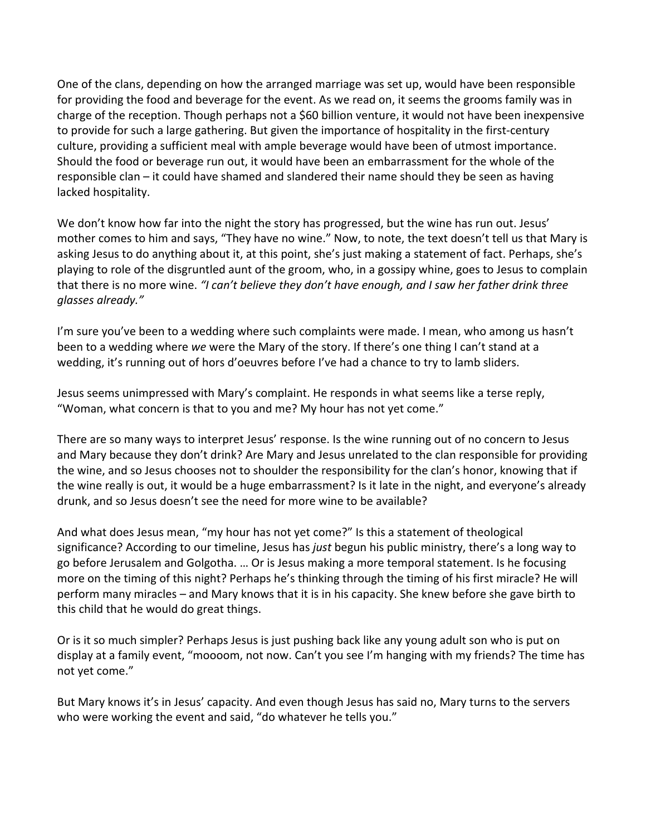One of the clans, depending on how the arranged marriage was set up, would have been responsible for providing the food and beverage for the event. As we read on, it seems the grooms family was in charge of the reception. Though perhaps not a \$60 billion venture, it would not have been inexpensive to provide for such a large gathering. But given the importance of hospitality in the first-century culture, providing a sufficient meal with ample beverage would have been of utmost importance. Should the food or beverage run out, it would have been an embarrassment for the whole of the responsible clan – it could have shamed and slandered their name should they be seen as having lacked hospitality.

We don't know how far into the night the story has progressed, but the wine has run out. Jesus' mother comes to him and says, "They have no wine." Now, to note, the text doesn't tell us that Mary is asking Jesus to do anything about it, at this point, she's just making a statement of fact. Perhaps, she's playing to role of the disgruntled aunt of the groom, who, in a gossipy whine, goes to Jesus to complain that there is no more wine. *"I can't believe they don't have enough, and I saw her father drink three glasses already."* 

I'm sure you've been to a wedding where such complaints were made. I mean, who among us hasn't been to a wedding where *we* were the Mary of the story. If there's one thing I can't stand at a wedding, it's running out of hors d'oeuvres before I've had a chance to try to lamb sliders.

Jesus seems unimpressed with Mary's complaint. He responds in what seems like a terse reply, "Woman, what concern is that to you and me? My hour has not yet come."

There are so many ways to interpret Jesus' response. Is the wine running out of no concern to Jesus and Mary because they don't drink? Are Mary and Jesus unrelated to the clan responsible for providing the wine, and so Jesus chooses not to shoulder the responsibility for the clan's honor, knowing that if the wine really is out, it would be a huge embarrassment? Is it late in the night, and everyone's already drunk, and so Jesus doesn't see the need for more wine to be available?

And what does Jesus mean, "my hour has not yet come?" Is this a statement of theological significance? According to our timeline, Jesus has *just* begun his public ministry, there's a long way to go before Jerusalem and Golgotha. … Or is Jesus making a more temporal statement. Is he focusing more on the timing of this night? Perhaps he's thinking through the timing of his first miracle? He will perform many miracles – and Mary knows that it is in his capacity. She knew before she gave birth to this child that he would do great things.

Or is it so much simpler? Perhaps Jesus is just pushing back like any young adult son who is put on display at a family event, "moooom, not now. Can't you see I'm hanging with my friends? The time has not yet come."

But Mary knows it's in Jesus' capacity. And even though Jesus has said no, Mary turns to the servers who were working the event and said, "do whatever he tells you."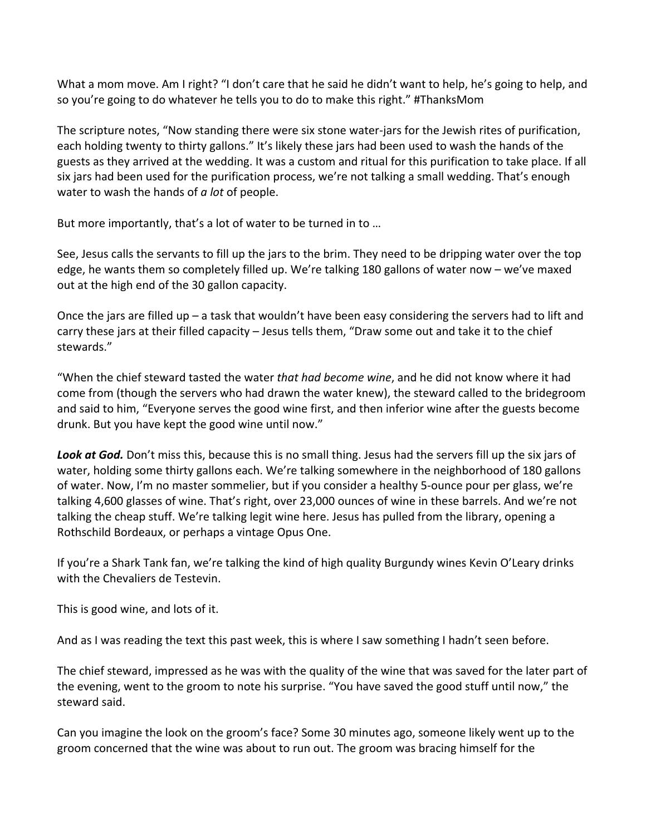What a mom move. Am I right? "I don't care that he said he didn't want to help, he's going to help, and so you're going to do whatever he tells you to do to make this right." #ThanksMom

The scripture notes, "Now standing there were six stone water-jars for the Jewish rites of purification, each holding twenty to thirty gallons." It's likely these jars had been used to wash the hands of the guests as they arrived at the wedding. It was a custom and ritual for this purification to take place. If all six jars had been used for the purification process, we're not talking a small wedding. That's enough water to wash the hands of *a lot* of people.

But more importantly, that's a lot of water to be turned in to …

See, Jesus calls the servants to fill up the jars to the brim. They need to be dripping water over the top edge, he wants them so completely filled up. We're talking 180 gallons of water now – we've maxed out at the high end of the 30 gallon capacity.

Once the jars are filled up – a task that wouldn't have been easy considering the servers had to lift and carry these jars at their filled capacity – Jesus tells them, "Draw some out and take it to the chief stewards."

"When the chief steward tasted the water *that had become wine*, and he did not know where it had come from (though the servers who had drawn the water knew), the steward called to the bridegroom and said to him, "Everyone serves the good wine first, and then inferior wine after the guests become drunk. But you have kept the good wine until now."

Look at God. Don't miss this, because this is no small thing. Jesus had the servers fill up the six jars of water, holding some thirty gallons each. We're talking somewhere in the neighborhood of 180 gallons of water. Now, I'm no master sommelier, but if you consider a healthy 5-ounce pour per glass, we're talking 4,600 glasses of wine. That's right, over 23,000 ounces of wine in these barrels. And we're not talking the cheap stuff. We're talking legit wine here. Jesus has pulled from the library, opening a Rothschild Bordeaux, or perhaps a vintage Opus One.

If you're a Shark Tank fan, we're talking the kind of high quality Burgundy wines Kevin O'Leary drinks with the Chevaliers de Testevin.

This is good wine, and lots of it.

And as I was reading the text this past week, this is where I saw something I hadn't seen before.

The chief steward, impressed as he was with the quality of the wine that was saved for the later part of the evening, went to the groom to note his surprise. "You have saved the good stuff until now," the steward said.

Can you imagine the look on the groom's face? Some 30 minutes ago, someone likely went up to the groom concerned that the wine was about to run out. The groom was bracing himself for the